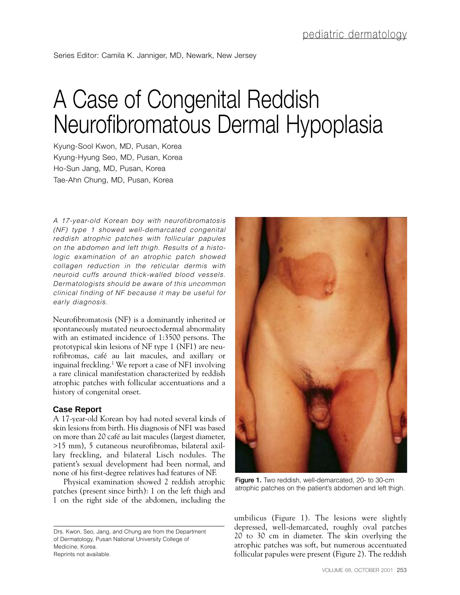## A Case of Congenital Reddish Neurofibromatous Dermal Hypoplasia

Kyung-Sool Kwon, MD, Pusan, Korea Kyung-Hyung Seo, MD, Pusan, Korea Ho-Sun Jang, MD, Pusan, Korea Tae-Ahn Chung, MD, Pusan, Korea

*A 17-year-old Korean boy with neurofibromatosis (NF) type 1 showed well-demarcated congenital reddish atrophic patches with follicular papules on the abdomen and left thigh. Results of a histologic examination of an atrophic patch showed collagen reduction in the reticular dermis with neuroid cuffs around thick-walled blood vessels. Dermatologists should be aware of this uncommon clinical finding of NF because it may be useful for early diagnosis.*

Neurofibromatosis (NF) is a dominantly inherited or spontaneously mutated neuroectodermal abnormality with an estimated incidence of 1:3500 persons. The prototypical skin lesions of NF type 1 (NF1) are neurofibromas, café au lait macules, and axillary or inguinal freckling.1 We report a case of NF1 involving a rare clinical manifestation characterized by reddish atrophic patches with follicular accentuations and a history of congenital onset.

## **Case Report**

A 17-year-old Korean boy had noted several kinds of skin lesions from birth. His diagnosis of NF1 was based on more than 20 café au lait macules (largest diameter, >15 mm), 5 cutaneous neurofibromas, bilateral axillary freckling, and bilateral Lisch nodules. The patient's sexual development had been normal, and none of his first-degree relatives had features of NF.

Physical examination showed 2 reddish atrophic patches (present since birth): 1 on the left thigh and 1 on the right side of the abdomen, including the



**Figure 1.** Two reddish, well-demarcated, 20- to 30-cm atrophic patches on the patient's abdomen and left thigh.

umbilicus (Figure 1). The lesions were slightly depressed, well-demarcated, roughly oval patches 20 to 30 cm in diameter. The skin overlying the atrophic patches was soft, but numerous accentuated follicular papules were present (Figure 2). The reddish

Drs. Kwon, Seo, Jang, and Chung are from the Department of Dermatology, Pusan National University College of Medicine, Korea. Reprints not available.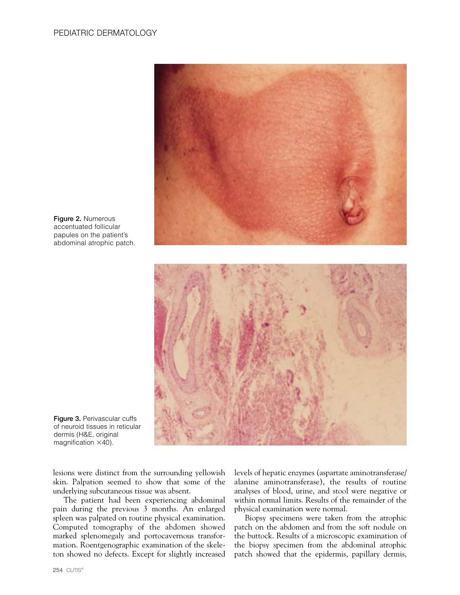

**Figure 2.** Numerous accentuated follicular papules on the patient's abdominal atrophic patch.



**Figure 3.** Perivascular cuffs of neuroid tissues in reticular dermis (H&E, original magnification  $\times$ 40).

lesions were distinct from the surrounding yellowish skin. Palpation seemed to show that some of the underlying subcutaneous tissue was absent.

The patient had been experiencing abdominal pain during the previous 3 months. An enlarged spleen was palpated on routine physical examination. Computed tomography of the abdomen showed marked splenomegaly and portocavernous transformation. Roentgenographic examination of the skeleton showed no defects. Except for slightly increased levels of hepatic enzymes (aspartate aminotransferase/ alanine aminotransferase), the results of routine analyses of blood, urine, and stool were negative or within normal limits. Results of the remainder of the physical examination were normal.

Biopsy specimens were taken from the atrophic patch on the abdomen and from the soft nodule on the buttock. Results of a microscopic examination of the biopsy specimen from the abdominal atrophic patch showed that the epidermis, papillary dermis,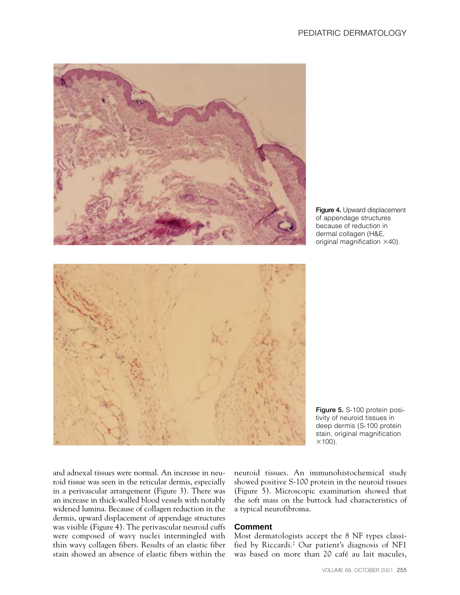

**Figure 4.** Upward displacement of appendage structures because of reduction in dermal collagen (H&E, original magnification  $\times$ 40).

**Figure 5.** S-100 protein positivity of neuroid tissues in deep dermis (S-100 protein stain, original magnification  $\times$ 100).

and adnexal tissues were normal. An increase in neuroid tissue was seen in the reticular dermis, especially in a perivascular arrangement (Figure 3). There was an increase in thick-walled blood vessels with notably widened lumina. Because of collagen reduction in the dermis, upward displacement of appendage structures was visible (Figure 4). The perivascular neuroid cuffs were composed of wavy nuclei intermingled with thin wavy collagen fibers. Results of an elastic fiber stain showed an absence of elastic fibers within the

neuroid tissues. An immunohistochemical study showed positive S-100 protein in the neuroid tissues (Figure 5). Microscopic examination showed that the soft mass on the buttock had characteristics of a typical neurofibroma.

## **Comment**

Most dermatologists accept the 8 NF types classified by Riccardi.2 Our patient's diagnosis of NF1 was based on more than 20 café au lait macules,